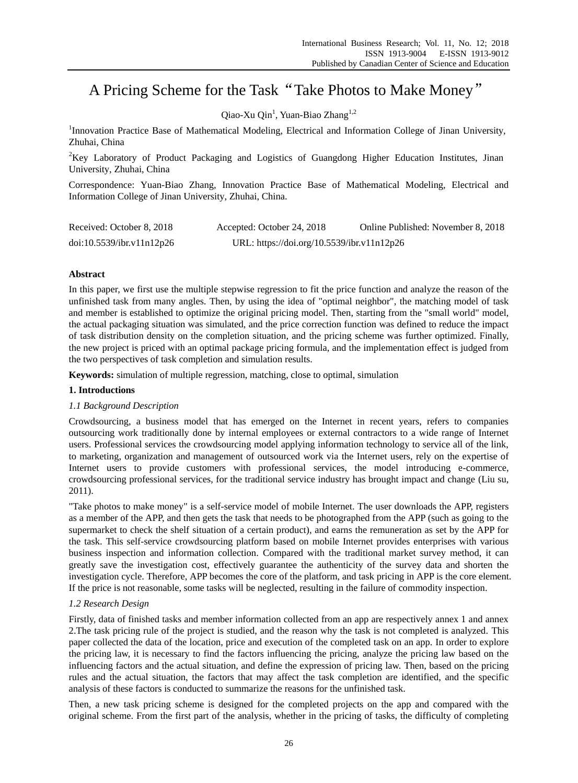# A Pricing Scheme for the Task"Take Photos to Make Money"

Qiao-Xu Qin<sup>1</sup>, Yuan-Biao Zhang<sup>1,2</sup>

<sup>1</sup>Innovation Practice Base of Mathematical Modeling, Electrical and Information College of Jinan University, Zhuhai, China

<sup>2</sup>Key Laboratory of Product Packaging and Logistics of Guangdong Higher Education Institutes, Jinan University, Zhuhai, China

Correspondence: Yuan-Biao Zhang, Innovation Practice Base of Mathematical Modeling, Electrical and Information College of Jinan University, Zhuhai, China.

| Received: October 8, 2018 | Accepted: October 24, 2018                 | Online Published: November 8, 2018 |
|---------------------------|--------------------------------------------|------------------------------------|
| doi:10.5539/ibr.v11n12p26 | URL: https://doi.org/10.5539/ibr.v11n12p26 |                                    |

# **Abstract**

In this paper, we first use the multiple stepwise regression to fit the price function and analyze the reason of the unfinished task from many angles. Then, by using the idea of "optimal neighbor", the matching model of task and member is established to optimize the original pricing model. Then, starting from the "small world" model, the actual packaging situation was simulated, and the price correction function was defined to reduce the impact of task distribution density on the completion situation, and the pricing scheme was further optimized. Finally, the new project is priced with an optimal package pricing formula, and the implementation effect is judged from the two perspectives of task completion and simulation results.

**Keywords:** simulation of multiple regression, matching, close to optimal, simulation

## **1. Introductions**

# *1.1 Background Description*

Crowdsourcing, a business model that has emerged on the Internet in recent years, refers to companies outsourcing work traditionally done by internal employees or external contractors to a wide range of Internet users. Professional services the crowdsourcing model applying information technology to service all of the link, to marketing, organization and management of outsourced work via the Internet users, rely on the expertise of Internet users to provide customers with professional services, the model introducing e-commerce, crowdsourcing professional services, for the traditional service industry has brought impact and change (Liu su, 2011).

"Take photos to make money" is a self-service model of mobile Internet. The user downloads the APP, registers as a member of the APP, and then gets the task that needs to be photographed from the APP (such as going to the supermarket to check the shelf situation of a certain product), and earns the remuneration as set by the APP for the task. This self-service crowdsourcing platform based on mobile Internet provides enterprises with various business inspection and information collection. Compared with the traditional market survey method, it can greatly save the investigation cost, effectively guarantee the authenticity of the survey data and shorten the investigation cycle. Therefore, APP becomes the core of the platform, and task pricing in APP is the core element. If the price is not reasonable, some tasks will be neglected, resulting in the failure of commodity inspection.

# *1.2 Research Design*

Firstly, data of finished tasks and member information collected from an app are respectively annex 1 and annex 2.The task pricing rule of the project is studied, and the reason why the task is not completed is analyzed. This paper collected the data of the location, price and execution of the completed task on an app. In order to explore the pricing law, it is necessary to find the factors influencing the pricing, analyze the pricing law based on the influencing factors and the actual situation, and define the expression of pricing law. Then, based on the pricing rules and the actual situation, the factors that may affect the task completion are identified, and the specific analysis of these factors is conducted to summarize the reasons for the unfinished task.

Then, a new task pricing scheme is designed for the completed projects on the app and compared with the original scheme. From the first part of the analysis, whether in the pricing of tasks, the difficulty of completing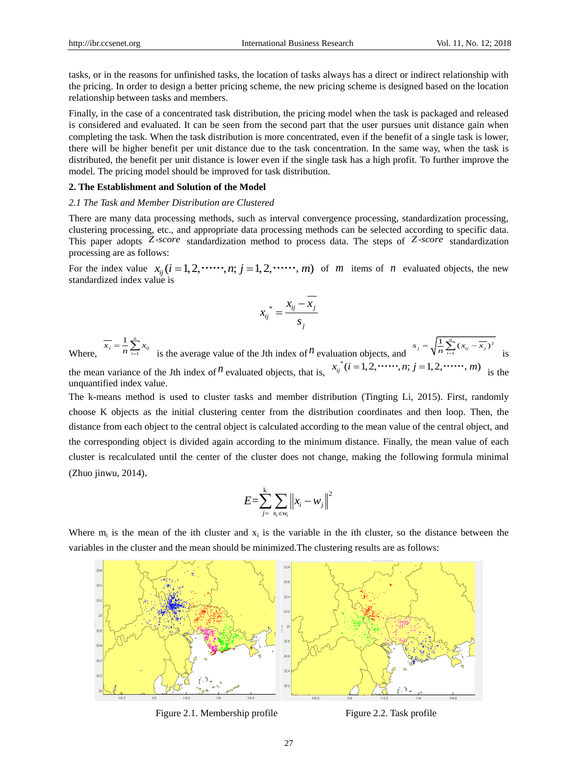unquantified index value.

tasks, or in the reasons for unfinished tasks, the location of tasks always has a direct or indirect relationship with the pricing. In order to design a better pricing scheme, the new pricing scheme is designed based on the location relationship between tasks and members.

Finally, in the case of a concentrated task distribution, the pricing model when the task is packaged and released is considered and evaluated. It can be seen from the second part that the user pursues unit distance gain when completing the task. When the task distribution is more concentrated, even if the benefit of a single task is lower, there will be higher benefit per unit distance due to the task concentration. In the same way, when the task is distributed, the benefit per unit distance is lower even if the single task has a high profit. To further improve the model. The pricing model should be improved for task distribution.

#### **2. The Establishment and Solution of the Model**

#### *2.1 The Task and Member Distribution are Clustered*

There are many data processing methods, such as interval convergence processing, standardization processing, clustering processing, etc., and appropriate data processing methods can be selected according to specific data. This paper adopts Z-score standardization method to process data. The steps of Z-score standardization processing are as follows:

processing are as follows:<br>For the index value  $x_{ij}$  ( $i = 1, 2, \dots, n$ ;  $j = 1, 2, \dots, m$ ) of *m* items of *n* evaluated objects, the new standardized index value is

$$
x_{ij}^* = \frac{x_{ij} - x_j}{s_j}
$$

Where, 1  $1 \nightharpoonup^n$  $\overline{x_j} = \frac{1}{n} \sum_{i=1}^{n} x_{ij}$  is the average value of the Jth index of *n* evaluation objects, and 2 1  $s_j = \sqrt{\frac{1}{n} \sum_{i=1}^{n} (x_{ij} - \overline{x_j})}$ is the mean variance of the Jth index of  $^n$  evaluated objects, that is,  $x_{ij}^*$ (uation objects, and  $\sqrt[n]{n} \xrightarrow{?} \frac{?}{n!}$  is integral in the *x<sub>ij</sub>*  $(i = 1, 2, \dots, n; j = 1, 2, \dots, m)$  is the

The k-means method is used to cluster tasks and member distribution (Tingting Li, 2015). First, randomly choose K objects as the initial clustering center from the distribution coordinates and then loop. Then, the distance from each object to the central object is calculated according to the mean value of the central object, and the corresponding object is divided again according to the minimum distance. Finally, the mean value of each cluster is recalculated until the center of the cluster does not change, making the following formula minimal (Zhuo jinwu, 2014).

$$
E = \sum_{j=-x_i \in w_i}^{k} \left\| x_i - w_j \right\|^2
$$

Where  $m_i$  is the mean of the ith cluster and  $x_i$  is the variable in the ith cluster, so the distance between the variables in the cluster and the mean should be minimized.The clustering results are as follows:



Figure 2.1. Membership profile Figure 2.2. Task profile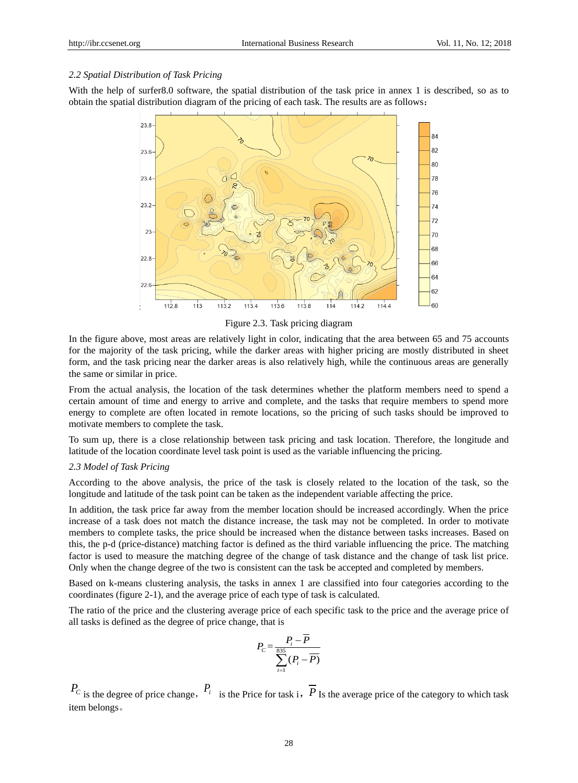## *2.2 Spatial Distribution of Task Pricing*

With the help of surfer8.0 software, the spatial distribution of the task price in annex 1 is described, so as to obtain the spatial distribution diagram of the pricing of each task. The results are as follows:



Figure 2.3. Task pricing diagram

In the figure above, most areas are relatively light in color, indicating that the area between 65 and 75 accounts for the majority of the task pricing, while the darker areas with higher pricing are mostly distributed in sheet form, and the task pricing near the darker areas is also relatively high, while the continuous areas are generally the same or similar in price.

From the actual analysis, the location of the task determines whether the platform members need to spend a certain amount of time and energy to arrive and complete, and the tasks that require members to spend more energy to complete are often located in remote locations, so the pricing of such tasks should be improved to motivate members to complete the task.

To sum up, there is a close relationship between task pricing and task location. Therefore, the longitude and latitude of the location coordinate level task point is used as the variable influencing the pricing.

## *2.3 Model of Task Pricing*

According to the above analysis, the price of the task is closely related to the location of the task, so the longitude and latitude of the task point can be taken as the independent variable affecting the price.

In addition, the task price far away from the member location should be increased accordingly. When the price increase of a task does not match the distance increase, the task may not be completed. In order to motivate members to complete tasks, the price should be increased when the distance between tasks increases. Based on this, the p-d (price-distance) matching factor is defined as the third variable influencing the price. The matching factor is used to measure the matching degree of the change of task distance and the change of task list price. Only when the change degree of the two is consistent can the task be accepted and completed by members.

Based on k-means clustering analysis, the tasks in annex 1 are classified into four categories according to the coordinates (figure 2-1), and the average price of each type of task is calculated.

The ratio of the price and the clustering average price of each specific task to the price and the average price of all tasks is defined as the degree of price change, that is

$$
P_C = \frac{P_i - \overline{P}}{\sum_{i=1}^{835} (P_i - \overline{P})}
$$

 $P_c$  is the degree of price change,  $P_i$  is the Price for task i,  $\overline{P}$  Is the average price of the category to which task item belongs。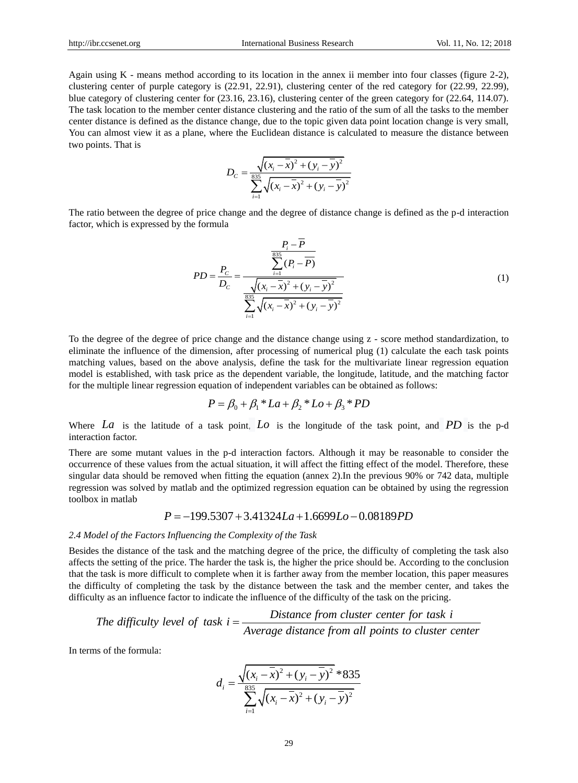Again using K - means method according to its location in the annex ii member into four classes (figure 2-2), clustering center of purple category is (22.91, 22.91), clustering center of the red category for (22.99, 22.99), blue category of clustering center for (23.16, 23.16), clustering center of the green category for (22.64, 114.07). The task location to the member center distance clustering and the ratio of the sum of all the tasks to the member center distance is defined as the distance change, due to the topic given data point location change is very small, You can almost view it as a plane, where the Euclidean distance is calculated to measure the distance between two points. That is

$$
D_C = \frac{\sqrt{(x_i - \overline{x})^2 + (y_i - \overline{y})^2}}{\sum_{i=1}^{835} \sqrt{(x_i - \overline{x})^2 + (y_i - \overline{y})^2}}
$$

The ratio between the degree of price change and the degree of distance change is defined as the p-d interaction factor, which is expressed by the formula

$$
PD = \frac{P_C}{D_C} = \frac{\frac{P_i - \overline{P}}{\sum_{i=1}^{835} (P_i - \overline{P})}}{\frac{\sqrt{(x_i - \overline{x})^2 + (y_i - \overline{y})^2}}{\sum_{i=1}^{835} \sqrt{(x_i - \overline{x})^2 + (y_i - \overline{y})^2}}}
$$
(1)

To the degree of the degree of price change and the distance change using z - score method standardization, to eliminate the influence of the dimension, after processing of numerical plug (1) calculate the each task points matching values, based on the above analysis, define the task for the multivariate linear regression equation model is established, with task price as the dependent variable, the longitude, latitude, and the matching factor for the multiple linear regression equation of independent variables can be obtained as follows:<br>  $P = \beta_0 + \beta_1 * La + \beta_2 * Lo + \beta_3 * PD$ 

$$
P = \beta_0 + \beta_1 * La + \beta_2 * Lo + \beta_3 * PD
$$

Where  $La$  is the latitude of a task point,  $Lo$  is the longitude of the task point, and  $PD$  is the p-d interaction factor.

There are some mutant values in the p-d interaction factors. Although it may be reasonable to consider the occurrence of these values from the actual situation, it will affect the fitting effect of the model. Therefore, these singular data should be removed when fitting the equation (annex 2).In the previous 90% or 742 data, multiple regression was solved by matlab and the optimized regression equation can be obtained by using the regression toolbox in matlab<br> $P = -199.5307 + 3.41324 La + 1.6699 Lo - 0.08189PD$ toolbox in matlab

$$
P = -199.5307 + 3.41324La + 1.6699Lo - 0.08189PD
$$

#### *2.4 Model of the Factors Influencing the Complexity of the Task*

Besides the distance of the task and the matching degree of the price, the difficulty of completing the task also affects the setting of the price. The harder the task is, the higher the price should be. According to the conclusion that the task is more difficult to complete when it is farther away from the member location, this paper measures the difficulty of completing the task by the distance between the task and the member center, and takes the difficulty as an influence factor to indicate the influence of the difficulty of the task on the pricing. *Distance from cluster center for task i Distance for task is more difficult to complete when it is farther away from the member location, this pficulty of completing the task by the distance between the task and the me* 

 *Average distance from all points to cluster center* 

In terms of the formula:

$$
d_i = \frac{\sqrt{(x_i - \overline{x})^2 + (y_i - \overline{y})^2} * 835}{\sum_{i=1}^{835} \sqrt{(x_i - \overline{x})^2 + (y_i - \overline{y})^2}}
$$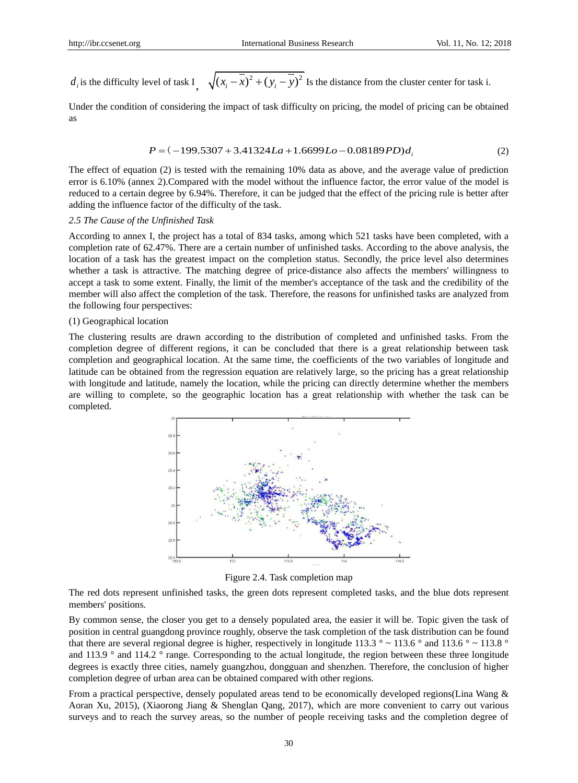$d_i$  is the difficulty level of task I<sub>,</sub>  $\sqrt{(x_i - \overline{x})^2 + (y_i - \overline{y})^2}$  Is the distance from the cluster center for task i.

Under the condition of considering the impact of task difficulty on pricing, the model of pricing can be obtained as

$$
P = (-199.5307 + 3.41324La + 1.6699Lo - 0.08189PD)di
$$
\n(2)

The effect of equation (2) is tested with the remaining 10% data as above, and the average value of prediction error is 6.10% (annex 2).Compared with the model without the influence factor, the error value of the model is reduced to a certain degree by 6.94%. Therefore, it can be judged that the effect of the pricing rule is better after adding the influence factor of the difficulty of the task.

### *2.5 The Cause of the Unfinished Task*

According to annex I, the project has a total of 834 tasks, among which 521 tasks have been completed, with a completion rate of 62.47%. There are a certain number of unfinished tasks. According to the above analysis, the location of a task has the greatest impact on the completion status. Secondly, the price level also determines whether a task is attractive. The matching degree of price-distance also affects the members' willingness to accept a task to some extent. Finally, the limit of the member's acceptance of the task and the credibility of the member will also affect the completion of the task. Therefore, the reasons for unfinished tasks are analyzed from the following four perspectives:

#### (1) Geographical location

The clustering results are drawn according to the distribution of completed and unfinished tasks. From the completion degree of different regions, it can be concluded that there is a great relationship between task completion and geographical location. At the same time, the coefficients of the two variables of longitude and latitude can be obtained from the regression equation are relatively large, so the pricing has a great relationship with longitude and latitude, namely the location, while the pricing can directly determine whether the members are willing to complete, so the geographic location has a great relationship with whether the task can be completed.



Figure 2.4. Task completion map

The red dots represent unfinished tasks, the green dots represent completed tasks, and the blue dots represent members' positions.

By common sense, the closer you get to a densely populated area, the easier it will be. Topic given the task of position in central guangdong province roughly, observe the task completion of the task distribution can be found that there are several regional degree is higher, respectively in longitude 113.3  $\degree \sim 113.6 \degree$  and 113.6  $\degree \sim 113.8 \degree$ and 113.9 ° and 114.2 ° range. Corresponding to the actual longitude, the region between these three longitude degrees is exactly three cities, namely guangzhou, dongguan and shenzhen. Therefore, the conclusion of higher completion degree of urban area can be obtained compared with other regions.

From a practical perspective, densely populated areas tend to be economically developed regions(Lina Wang & Aoran Xu, 2015), (Xiaorong Jiang & Shenglan Qang, 2017), which are more convenient to carry out various surveys and to reach the survey areas, so the number of people receiving tasks and the completion degree of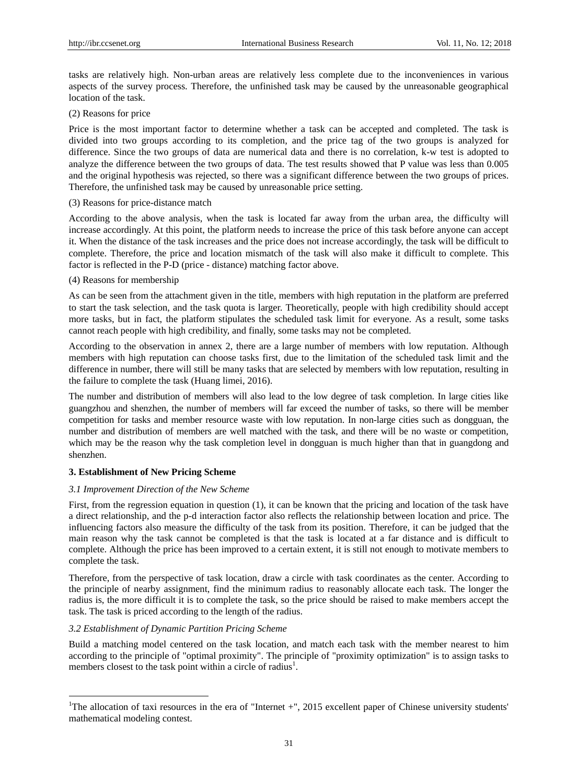tasks are relatively high. Non-urban areas are relatively less complete due to the inconveniences in various aspects of the survey process. Therefore, the unfinished task may be caused by the unreasonable geographical location of the task.

## (2) Reasons for price

Price is the most important factor to determine whether a task can be accepted and completed. The task is divided into two groups according to its completion, and the price tag of the two groups is analyzed for difference. Since the two groups of data are numerical data and there is no correlation, k-w test is adopted to analyze the difference between the two groups of data. The test results showed that P value was less than 0.005 and the original hypothesis was rejected, so there was a significant difference between the two groups of prices. Therefore, the unfinished task may be caused by unreasonable price setting.

### (3) Reasons for price-distance match

According to the above analysis, when the task is located far away from the urban area, the difficulty will increase accordingly. At this point, the platform needs to increase the price of this task before anyone can accept it. When the distance of the task increases and the price does not increase accordingly, the task will be difficult to complete. Therefore, the price and location mismatch of the task will also make it difficult to complete. This factor is reflected in the P-D (price - distance) matching factor above.

# (4) Reasons for membership

As can be seen from the attachment given in the title, members with high reputation in the platform are preferred to start the task selection, and the task quota is larger. Theoretically, people with high credibility should accept more tasks, but in fact, the platform stipulates the scheduled task limit for everyone. As a result, some tasks cannot reach people with high credibility, and finally, some tasks may not be completed.

According to the observation in annex 2, there are a large number of members with low reputation. Although members with high reputation can choose tasks first, due to the limitation of the scheduled task limit and the difference in number, there will still be many tasks that are selected by members with low reputation, resulting in the failure to complete the task (Huang limei, 2016).

The number and distribution of members will also lead to the low degree of task completion. In large cities like guangzhou and shenzhen, the number of members will far exceed the number of tasks, so there will be member competition for tasks and member resource waste with low reputation. In non-large cities such as dongguan, the number and distribution of members are well matched with the task, and there will be no waste or competition, which may be the reason why the task completion level in dongguan is much higher than that in guangdong and shenzhen.

#### **3. Establishment of New Pricing Scheme**

#### *3.1 Improvement Direction of the New Scheme*

First, from the regression equation in question (1), it can be known that the pricing and location of the task have a direct relationship, and the p-d interaction factor also reflects the relationship between location and price. The influencing factors also measure the difficulty of the task from its position. Therefore, it can be judged that the main reason why the task cannot be completed is that the task is located at a far distance and is difficult to complete. Although the price has been improved to a certain extent, it is still not enough to motivate members to complete the task.

Therefore, from the perspective of task location, draw a circle with task coordinates as the center. According to the principle of nearby assignment, find the minimum radius to reasonably allocate each task. The longer the radius is, the more difficult it is to complete the task, so the price should be raised to make members accept the task. The task is priced according to the length of the radius.

## *3.2 Establishment of Dynamic Partition Pricing Scheme*

-

Build a matching model centered on the task location, and match each task with the member nearest to him according to the principle of "optimal proximity". The principle of "proximity optimization" is to assign tasks to members closest to the task point within a circle of radius<sup>1</sup>.

<sup>&</sup>lt;sup>1</sup>The allocation of taxi resources in the era of "Internet  $+$ ", 2015 excellent paper of Chinese university students' mathematical modeling contest.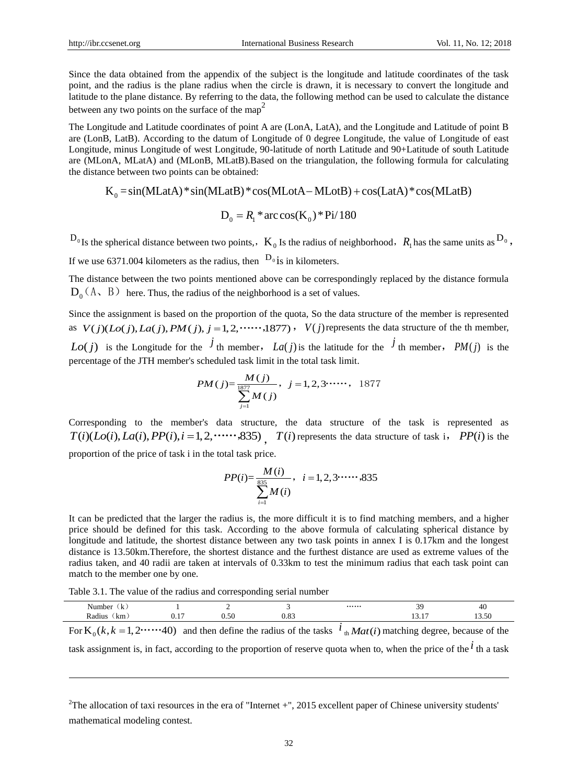Since the data obtained from the appendix of the subject is the longitude and latitude coordinates of the task point, and the radius is the plane radius when the circle is drawn, it is necessary to convert the longitude and latitude to the plane distance. By referring to the data, the following method can be used to calculate the distance between any two points on the surface of the map<sup>2</sup>

The Longitude and Latitude coordinates of point A are (LonA, LatA), and the Longitude and Latitude of point B are (LonB, LatB). According to the datum of Longitude of 0 degree Longitude, the value of Longitude of east Longitude, minus Longitude of west Longitude, 90-latitude of north Latitude and 90+Latitude of south Latitude are (MLonA, MLatA) and (MLonB, MLatB).Based on the triangulation, the following formula for calculating the distance between two points can be obtained: Eq. minus Longitude of west Longitude, 90-latitude of north Latitude and 90+Latitude of south on A, MLatA) and (MLonB, MLatB). Based on the triangulation, the following formula for cose between two points can be obtained:

$$
K_0 = \sin(MLatA) * \sin(MLatB) * \cos(MLotA - MLotB) + \cos(LatA) * \cos(MLatB)
$$

$$
D_0 = R_1 * \arccos(K_0) * \text{Pi}/180
$$

 $D_0$ <sub>Is</sub> the spherical distance between two points,,  $K_0$  Is the radius of neighborhood,  $R_1$  has the same units as  $D_0$ , If we use 6371.004 kilometers as the radius, then  $D_0$  is in kilometers.

The distance between the two points mentioned above can be correspondingly replaced by the distance formula  $D_0(A, B)$  here. Thus, the radius of the neighborhood is a set of values.

Since the assignment is based on the proportion of the quota, So the data structure of the member is represented Since the assignment is based on the proportion of the quota, So the data structure of the member is represented as  $V(j)(Lo(j), La(j), PM(j), j = 1, 2, \dots, 1877)$ ,  $V(j)$  represents the data structure of the th member, *Lo(j)* is the Longitude for the  $\hat{J}$  th member, *La(j)* is the latitude for the  $\hat{J}$  th member, *PM(j)* is the

percentage of the JTH member's scheduled task limit in the total task limit.  
\n
$$
PM(j) = \frac{M(j)}{\frac{1877}{2}} , \quad j = 1, 2, 3 \cdots , \quad 1877
$$
\n
$$
M(j)
$$

Corresponding to the member's data structure, the data structure of the task is represented as Corresponding to the member's data structure, the data structure of the task is represented as  $T(i)(Lo(i), La(i), PP(i), i = 1, 2, \cdots, 835)$ ,  $T(i)$  represents the data structure of task i,  $PP(i)$  is the proportion of the price of task i in the total task price.

$$
PP(i) = \frac{M(i)}{\sum_{i=1}^{835} M(i)}, \quad i = 1, 2, 3 \cdot \cdots, 835
$$

It can be predicted that the larger the radius is, the more difficult it is to find matching members, and a higher price should be defined for this task. According to the above formula of calculating spherical distance by longitude and latitude, the shortest distance between any two task points in annex I is 0.17km and the longest distance is 13.50km.Therefore, the shortest distance and the furthest distance are used as extreme values of the radius taken, and 40 radii are taken at intervals of 0.33km to test the minimum radius that each task point can match to the member one by one.

Table 3.1. The value of the radius and corresponding serial number

-

| Number<br>в.<br>the contract of the contract of |               |      |            | $\cdots \cdots$ |                    | 40                   |
|-------------------------------------------------|---------------|------|------------|-----------------|--------------------|----------------------|
| Radius<br><sub>km</sub>                         | $\sim$<br>v.i | U.OU | $\sim\sim$ |                 | $\sim$<br>. .<br>. | $\sim$ $\sim$ $\sim$ |

For  $K_0(k, k = 1, 2 \cdots 40)$  and then define the radius of the tasks  $\hat{i}_{\text{th}} Mat(i)$  matching degree, because of the

task assignment is, in fact, according to the proportion of reserve quota when to, when the price of the  $\dot{l}$  th a task

<sup>&</sup>lt;sup>2</sup>The allocation of taxi resources in the era of "Internet  $+$ ", 2015 excellent paper of Chinese university students' mathematical modeling contest.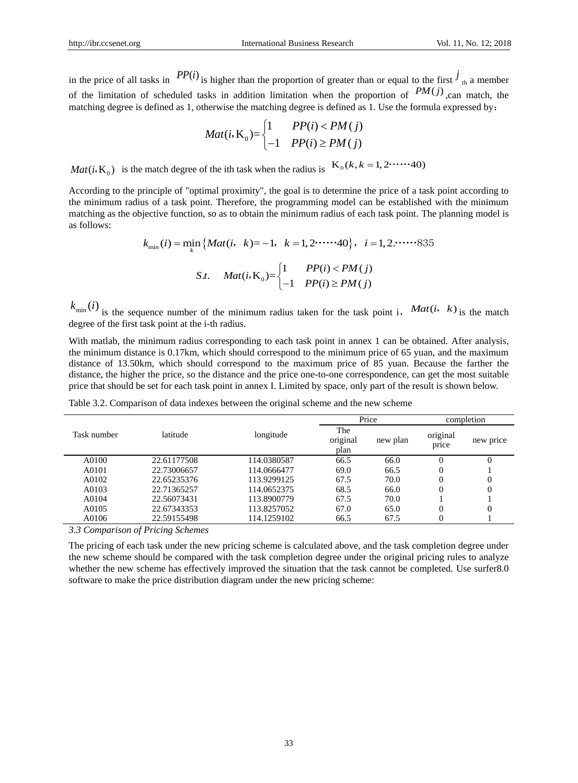in the price of all tasks in  $PP(i)$  is higher than the proportion of greater than or equal to the first  $j_{\text{th}}$  a member of the limitation of scheduled tasks in addition limitation when the proportion of  $PM(j)$ , can match, the matching degree is defined as 1, otherwise the matching degree is defined as 1. Use the formula expressed by:<br>  $M_{\text{eff}}$   $\sum_{i=1}^{n} \frac{PP(i) < PM(j)}{P(N(j))}$ 

$$
Mat(i, K_0) = \begin{cases} 1 & PP(i) < PM(j) \\ -1 & PP(i) \ge PM(j) \end{cases}
$$

*Mat*(*i*, **K**<sub>0</sub>) is the match degree of the ith task when the radius is  $K_0(k, k = 1, 2 \cdot \cdot \cdot \cdot \cdot \cdot 40)$ 

According to the principle of "optimal proximity", the goal is to determine the price of a task point according to the minimum radius of a task point. Therefore, the programming model can be established with the minimum matching as the objective function, so as to obtain the minimum radius of each task point. The planning model is min ( ) min ( )= 1 1,2 40 1,2. *k i Mat i k k i* , , as follows:

$$
k_{\min}(i) = \min_{k} \{ Mat(i, k) = -1, k = 1, 2 \cdot \cdots \cdot 40 \}, i = 1, 2 \cdot \cdots \cdot 835
$$
  
*S.t.*  $Mat(i, K_0) = \begin{cases} 1 & PP(i) < PM(j) \\ -1 & PP(i) \ge PM(j) \end{cases}$ 

 $k_{\min}(i)$  is the sequence number of the minimum radius taken for the task point i, *Mat(i, k)* is the match degree of the first task point at the i-th radius.

With matlab, the minimum radius corresponding to each task point in annex 1 can be obtained. After analysis, the minimum distance is 0.17km, which should correspond to the minimum price of 65 yuan, and the maximum distance of 13.50km, which should correspond to the maximum price of 85 yuan. Because the farther the distance, the higher the price, so the distance and the price one-to-one correspondence, can get the most suitable price that should be set for each task point in annex I. Limited by space, only part of the result is shown below.

|  | . . |      |  |
|--|-----|------|--|
|  |     | $-1$ |  |
|  |     |      |  |

Table 3.2. Comparison of data indexes between the original scheme and the new scheme

|             |             |             | -----                   |          | ------------      |           |
|-------------|-------------|-------------|-------------------------|----------|-------------------|-----------|
| Task number | latitude    | longitude   | The<br>original<br>plan | new plan | original<br>price | new price |
| A0100       | 22.61177508 | 114.0380587 | 66.5                    | 66.0     |                   |           |
| A0101       | 22.73006657 | 114.0666477 | 69.0                    | 66.5     |                   |           |
| A0102       | 22.65235376 | 113.9299125 | 67.5                    | 70.0     |                   |           |
| A0103       | 22.71365257 | 114.0652375 | 68.5                    | 66.0     |                   |           |
| A0104       | 22.56073431 | 113.8900779 | 67.5                    | 70.0     |                   |           |
| A0105       | 22.67343353 | 113.8257052 | 67.0                    | 65.0     |                   |           |
| A0106       | 22.59155498 | 114.1259102 | 66.5                    | 67.5     |                   |           |
|             |             |             |                         |          |                   |           |

*3.3 Comparison of Pricing Schemes*

The pricing of each task under the new pricing scheme is calculated above, and the task completion degree under the new scheme should be compared with the task completion degree under the original pricing rules to analyze whether the new scheme has effectively improved the situation that the task cannot be completed. Use surfer8.0 software to make the price distribution diagram under the new pricing scheme: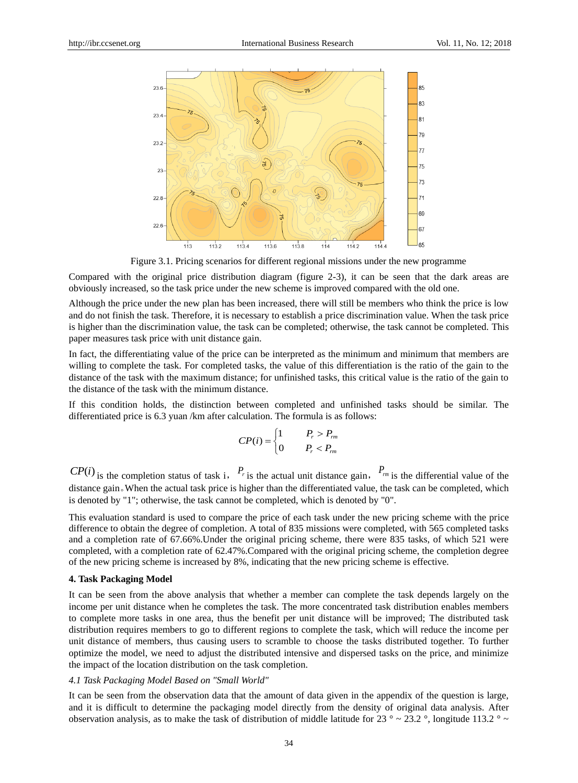

Figure 3.1. Pricing scenarios for different regional missions under the new programme

Compared with the original price distribution diagram (figure 2-3), it can be seen that the dark areas are obviously increased, so the task price under the new scheme is improved compared with the old one.

Although the price under the new plan has been increased, there will still be members who think the price is low and do not finish the task. Therefore, it is necessary to establish a price discrimination value. When the task price is higher than the discrimination value, the task can be completed; otherwise, the task cannot be completed. This paper measures task price with unit distance gain.

In fact, the differentiating value of the price can be interpreted as the minimum and minimum that members are willing to complete the task. For completed tasks, the value of this differentiation is the ratio of the gain to the distance of the task with the maximum distance; for unfinished tasks, this critical value is the ratio of the gain to the distance of the task with the minimum distance.

If this condition holds, the distinction between completed and unfinished tasks should be similar. The differentiated price is 6.3 yuan /km after calculation. The formula is as follows:

$$
CP(i) = \begin{cases} 1 & P_r > P_{rm} \\ 0 & P_r < P_{rm} \end{cases}
$$

 $CP(i)$  is the completion status of task i,  $P_r$  is the actual unit distance gain,  $P_{rm}$  is the differential value of the distance gain。When the actual task price is higher than the differentiated value, the task can be completed, which is denoted by "1"; otherwise, the task cannot be completed, which is denoted by "0".

This evaluation standard is used to compare the price of each task under the new pricing scheme with the price difference to obtain the degree of completion. A total of 835 missions were completed, with 565 completed tasks and a completion rate of 67.66%.Under the original pricing scheme, there were 835 tasks, of which 521 were completed, with a completion rate of 62.47%.Compared with the original pricing scheme, the completion degree of the new pricing scheme is increased by 8%, indicating that the new pricing scheme is effective.

#### **4. Task Packaging Model**

It can be seen from the above analysis that whether a member can complete the task depends largely on the income per unit distance when he completes the task. The more concentrated task distribution enables members to complete more tasks in one area, thus the benefit per unit distance will be improved; The distributed task distribution requires members to go to different regions to complete the task, which will reduce the income per unit distance of members, thus causing users to scramble to choose the tasks distributed together. To further optimize the model, we need to adjust the distributed intensive and dispersed tasks on the price, and minimize the impact of the location distribution on the task completion.

#### *4.1 Task Packaging Model Based on "Small World"*

It can be seen from the observation data that the amount of data given in the appendix of the question is large, and it is difficult to determine the packaging model directly from the density of original data analysis. After observation analysis, as to make the task of distribution of middle latitude for 23  $\degree \sim 23.2 \degree$ , longitude 113.2  $\degree \sim$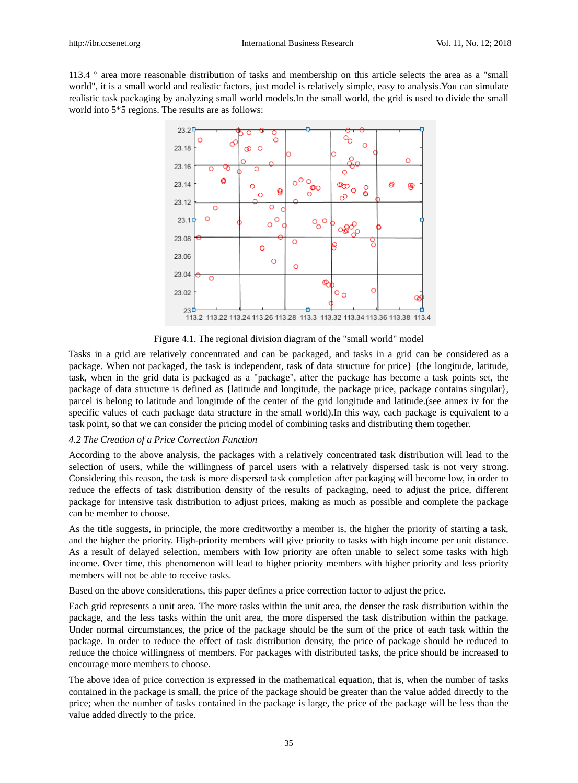113.4 ° area more reasonable distribution of tasks and membership on this article selects the area as a "small world", it is a small world and realistic factors, just model is relatively simple, easy to analysis.You can simulate realistic task packaging by analyzing small world models.In the small world, the grid is used to divide the small world into 5\*5 regions. The results are as follows:



Figure 4.1. The regional division diagram of the "small world" model

Tasks in a grid are relatively concentrated and can be packaged, and tasks in a grid can be considered as a package. When not packaged, the task is independent, task of data structure for price} {the longitude, latitude, task, when in the grid data is packaged as a "package", after the package has become a task points set, the package of data structure is defined as {latitude and longitude, the package price, package contains singular}, parcel is belong to latitude and longitude of the center of the grid longitude and latitude.(see annex iv for the specific values of each package data structure in the small world).In this way, each package is equivalent to a task point, so that we can consider the pricing model of combining tasks and distributing them together.

#### *4.2 The Creation of a Price Correction Function*

According to the above analysis, the packages with a relatively concentrated task distribution will lead to the selection of users, while the willingness of parcel users with a relatively dispersed task is not very strong. Considering this reason, the task is more dispersed task completion after packaging will become low, in order to reduce the effects of task distribution density of the results of packaging, need to adjust the price, different package for intensive task distribution to adjust prices, making as much as possible and complete the package can be member to choose.

As the title suggests, in principle, the more creditworthy a member is, the higher the priority of starting a task, and the higher the priority. High-priority members will give priority to tasks with high income per unit distance. As a result of delayed selection, members with low priority are often unable to select some tasks with high income. Over time, this phenomenon will lead to higher priority members with higher priority and less priority members will not be able to receive tasks.

Based on the above considerations, this paper defines a price correction factor to adjust the price.

Each grid represents a unit area. The more tasks within the unit area, the denser the task distribution within the package, and the less tasks within the unit area, the more dispersed the task distribution within the package. Under normal circumstances, the price of the package should be the sum of the price of each task within the package. In order to reduce the effect of task distribution density, the price of package should be reduced to reduce the choice willingness of members. For packages with distributed tasks, the price should be increased to encourage more members to choose.

The above idea of price correction is expressed in the mathematical equation, that is, when the number of tasks contained in the package is small, the price of the package should be greater than the value added directly to the price; when the number of tasks contained in the package is large, the price of the package will be less than the value added directly to the price.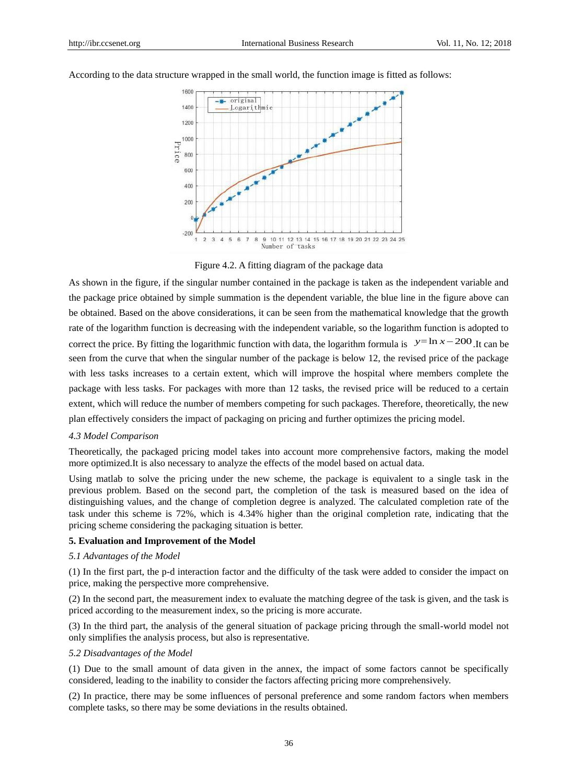

According to the data structure wrapped in the small world, the function image is fitted as follows:

Figure 4.2. A fitting diagram of the package data

As shown in the figure, if the singular number contained in the package is taken as the independent variable and the package price obtained by simple summation is the dependent variable, the blue line in the figure above can be obtained. Based on the above considerations, it can be seen from the mathematical knowledge that the growth rate of the logarithm function is decreasing with the independent variable, so the logarithm function is adopted to correct the price. By fitting the logarithmic function with data, the logarithm formula is  $y=ln x - 200$ . It can be seen from the curve that when the singular number of the package is below 12, the revised price of the package with less tasks increases to a certain extent, which will improve the hospital where members complete the package with less tasks. For packages with more than 12 tasks, the revised price will be reduced to a certain extent, which will reduce the number of members competing for such packages. Therefore, theoretically, the new plan effectively considers the impact of packaging on pricing and further optimizes the pricing model.

## *4.3 Model Comparison*

Theoretically, the packaged pricing model takes into account more comprehensive factors, making the model more optimized.It is also necessary to analyze the effects of the model based on actual data.

Using matlab to solve the pricing under the new scheme, the package is equivalent to a single task in the previous problem. Based on the second part, the completion of the task is measured based on the idea of distinguishing values, and the change of completion degree is analyzed. The calculated completion rate of the task under this scheme is 72%, which is 4.34% higher than the original completion rate, indicating that the pricing scheme considering the packaging situation is better.

## **5. Evaluation and Improvement of the Model**

## *5.1 Advantages of the Model*

(1) In the first part, the p-d interaction factor and the difficulty of the task were added to consider the impact on price, making the perspective more comprehensive.

(2) In the second part, the measurement index to evaluate the matching degree of the task is given, and the task is priced according to the measurement index, so the pricing is more accurate.

(3) In the third part, the analysis of the general situation of package pricing through the small-world model not only simplifies the analysis process, but also is representative.

# *5.2 Disadvantages of the Model*

(1) Due to the small amount of data given in the annex, the impact of some factors cannot be specifically considered, leading to the inability to consider the factors affecting pricing more comprehensively.

(2) In practice, there may be some influences of personal preference and some random factors when members complete tasks, so there may be some deviations in the results obtained.